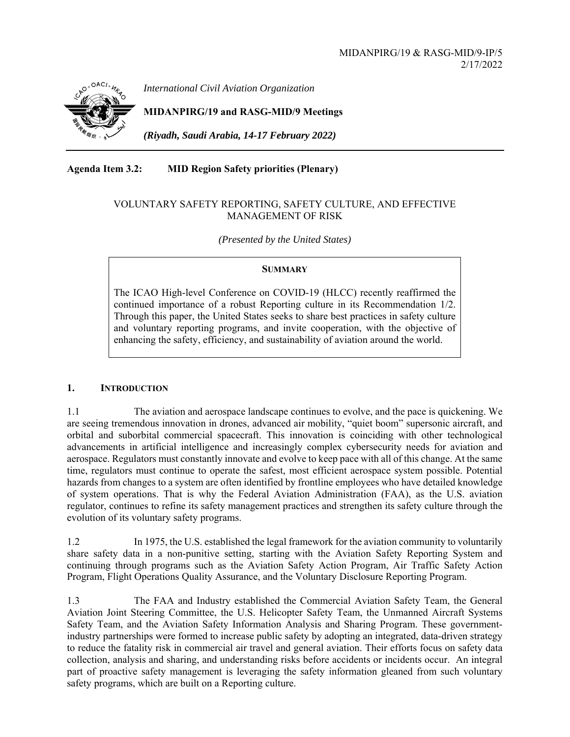

*International Civil Aviation Organization*

**MIDANPIRG/19 and RASG-MID/9 Meetings** 

*(Riyadh, Saudi Arabia, 14-17 February 2022)* 

**Agenda Item 3.2: MID Region Safety priorities (Plenary)** 

## VOLUNTARY SAFETY REPORTING, SAFETY CULTURE, AND EFFECTIVE MANAGEMENT OF RISK

*(Presented by the United States)* 

## **SUMMARY**

The ICAO High-level Conference on COVID-19 (HLCC) recently reaffirmed the continued importance of a robust Reporting culture in its Recommendation 1/2. Through this paper, the United States seeks to share best practices in safety culture and voluntary reporting programs, and invite cooperation, with the objective of enhancing the safety, efficiency, and sustainability of aviation around the world.

## **1. INTRODUCTION**

1.1 The aviation and aerospace landscape continues to evolve, and the pace is quickening. We are seeing tremendous innovation in drones, advanced air mobility, "quiet boom" supersonic aircraft, and orbital and suborbital commercial spacecraft. This innovation is coinciding with other technological advancements in artificial intelligence and increasingly complex cybersecurity needs for aviation and aerospace. Regulators must constantly innovate and evolve to keep pace with all of this change. At the same time, regulators must continue to operate the safest, most efficient aerospace system possible. Potential hazards from changes to a system are often identified by frontline employees who have detailed knowledge of system operations. That is why the Federal Aviation Administration (FAA), as the U.S. aviation regulator, continues to refine its safety management practices and strengthen its safety culture through the evolution of its voluntary safety programs.

1.2 In 1975, the U.S. established the legal framework for the aviation community to voluntarily share safety data in a non-punitive setting, starting with the Aviation Safety Reporting System and continuing through programs such as the Aviation Safety Action Program, Air Traffic Safety Action Program, Flight Operations Quality Assurance, and the Voluntary Disclosure Reporting Program.

1.3 The FAA and Industry established the Commercial Aviation Safety Team, the General Aviation Joint Steering Committee, the U.S. Helicopter Safety Team, the Unmanned Aircraft Systems Safety Team, and the Aviation Safety Information Analysis and Sharing Program. These governmentindustry partnerships were formed to increase public safety by adopting an integrated, data-driven strategy to reduce the fatality risk in commercial air travel and general aviation. Their efforts focus on safety data collection, analysis and sharing, and understanding risks before accidents or incidents occur. An integral part of proactive safety management is leveraging the safety information gleaned from such voluntary safety programs, which are built on a Reporting culture.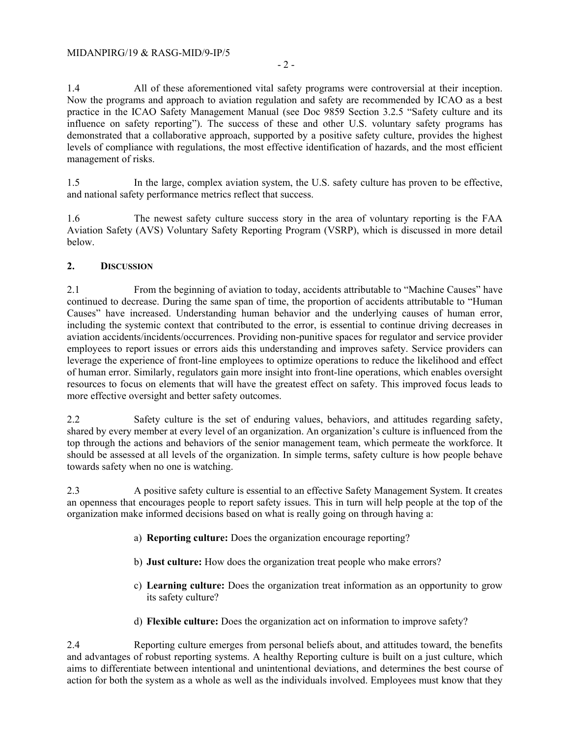1.4 All of these aforementioned vital safety programs were controversial at their inception. Now the programs and approach to aviation regulation and safety are recommended by ICAO as a best practice in the ICAO Safety Management Manual (see Doc 9859 Section 3.2.5 "Safety culture and its influence on safety reporting"). The success of these and other U.S. voluntary safety programs has demonstrated that a collaborative approach, supported by a positive safety culture, provides the highest levels of compliance with regulations, the most effective identification of hazards, and the most efficient management of risks.

1.5 In the large, complex aviation system, the U.S. safety culture has proven to be effective, and national safety performance metrics reflect that success.

1.6 The newest safety culture success story in the area of voluntary reporting is the FAA Aviation Safety (AVS) Voluntary Safety Reporting Program (VSRP), which is discussed in more detail below.

## **2. DISCUSSION**

2.1 From the beginning of aviation to today, accidents attributable to "Machine Causes" have continued to decrease. During the same span of time, the proportion of accidents attributable to "Human Causes" have increased. Understanding human behavior and the underlying causes of human error, including the systemic context that contributed to the error, is essential to continue driving decreases in aviation accidents/incidents/occurrences. Providing non-punitive spaces for regulator and service provider employees to report issues or errors aids this understanding and improves safety. Service providers can leverage the experience of front-line employees to optimize operations to reduce the likelihood and effect of human error. Similarly, regulators gain more insight into front-line operations, which enables oversight resources to focus on elements that will have the greatest effect on safety. This improved focus leads to more effective oversight and better safety outcomes.

2.2 Safety culture is the set of enduring values, behaviors, and attitudes regarding safety, shared by every member at every level of an organization. An organization's culture is influenced from the top through the actions and behaviors of the senior management team, which permeate the workforce. It should be assessed at all levels of the organization. In simple terms, safety culture is how people behave towards safety when no one is watching.

2.3 A positive safety culture is essential to an effective Safety Management System. It creates an openness that encourages people to report safety issues. This in turn will help people at the top of the organization make informed decisions based on what is really going on through having a:

- a) **Reporting culture:** Does the organization encourage reporting?
- b) **Just culture:** How does the organization treat people who make errors?
- c) **Learning culture:** Does the organization treat information as an opportunity to grow its safety culture?
- d) **Flexible culture:** Does the organization act on information to improve safety?

2.4 Reporting culture emerges from personal beliefs about, and attitudes toward, the benefits and advantages of robust reporting systems. A healthy Reporting culture is built on a just culture, which aims to differentiate between intentional and unintentional deviations, and determines the best course of action for both the system as a whole as well as the individuals involved. Employees must know that they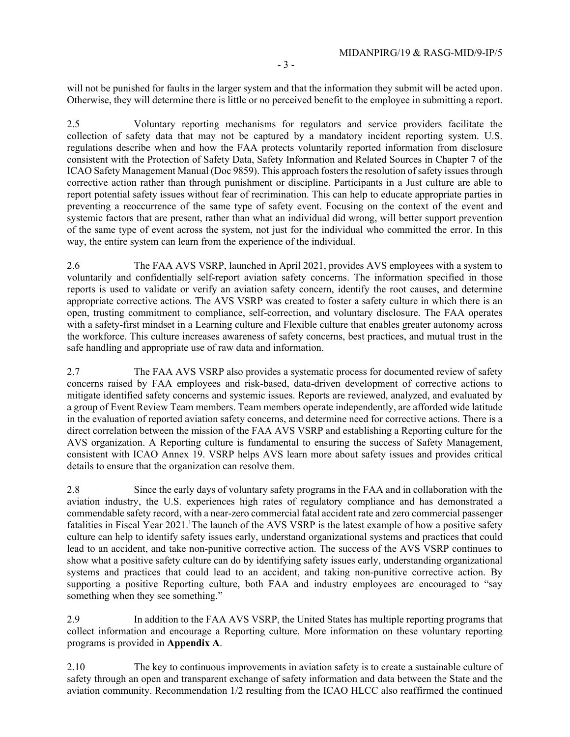will not be punished for faults in the larger system and that the information they submit will be acted upon. Otherwise, they will determine there is little or no perceived benefit to the employee in submitting a report.

2.5 Voluntary reporting mechanisms for regulators and service providers facilitate the collection of safety data that may not be captured by a mandatory incident reporting system. U.S. regulations describe when and how the FAA protects voluntarily reported information from disclosure consistent with the Protection of Safety Data, Safety Information and Related Sources in Chapter 7 of the ICAO Safety Management Manual (Doc 9859). This approach fosters the resolution of safety issues through corrective action rather than through punishment or discipline. Participants in a Just culture are able to report potential safety issues without fear of recrimination. This can help to educate appropriate parties in preventing a reoccurrence of the same type of safety event. Focusing on the context of the event and systemic factors that are present, rather than what an individual did wrong, will better support prevention of the same type of event across the system, not just for the individual who committed the error. In this way, the entire system can learn from the experience of the individual.

2.6 The FAA AVS VSRP, launched in April 2021, provides AVS employees with a system to voluntarily and confidentially self-report aviation safety concerns. The information specified in those reports is used to validate or verify an aviation safety concern, identify the root causes, and determine appropriate corrective actions. The AVS VSRP was created to foster a safety culture in which there is an open, trusting commitment to compliance, self-correction, and voluntary disclosure. The FAA operates with a safety-first mindset in a Learning culture and Flexible culture that enables greater autonomy across the workforce. This culture increases awareness of safety concerns, best practices, and mutual trust in the safe handling and appropriate use of raw data and information.

2.7 The FAA AVS VSRP also provides a systematic process for documented review of safety concerns raised by FAA employees and risk-based, data-driven development of corrective actions to mitigate identified safety concerns and systemic issues. Reports are reviewed, analyzed, and evaluated by a group of Event Review Team members. Team members operate independently, are afforded wide latitude in the evaluation of reported aviation safety concerns, and determine need for corrective actions. There is a direct correlation between the mission of the FAA AVS VSRP and establishing a Reporting culture for the AVS organization. A Reporting culture is fundamental to ensuring the success of Safety Management, consistent with ICAO Annex 19. VSRP helps AVS learn more about safety issues and provides critical details to ensure that the organization can resolve them.

2.8 Since the early days of voluntary safety programs in the FAA and in collaboration with the aviation industry, the U.S. experiences high rates of regulatory compliance and has demonstrated a commendable safety record, with a near-zero commercial fatal accident rate and zero commercial passenger fatalities in Fiscal Year 2021. The launch of the AVS VSRP is the latest example of how a positive safety culture can help to identify safety issues early, understand organizational systems and practices that could lead to an accident, and take non-punitive corrective action. The success of the AVS VSRP continues to show what a positive safety culture can do by identifying safety issues early, understanding organizational systems and practices that could lead to an accident, and taking non-punitive corrective action. By supporting a positive Reporting culture, both FAA and industry employees are encouraged to "say something when they see something."

2.9 In addition to the FAA AVS VSRP, the United States has multiple reporting programs that collect information and encourage a Reporting culture. More information on these voluntary reporting programs is provided in **Appendix A**.

2.10 The key to continuous improvements in aviation safety is to create a sustainable culture of safety through an open and transparent exchange of safety information and data between the State and the aviation community. Recommendation 1/2 resulting from the ICAO HLCC also reaffirmed the continued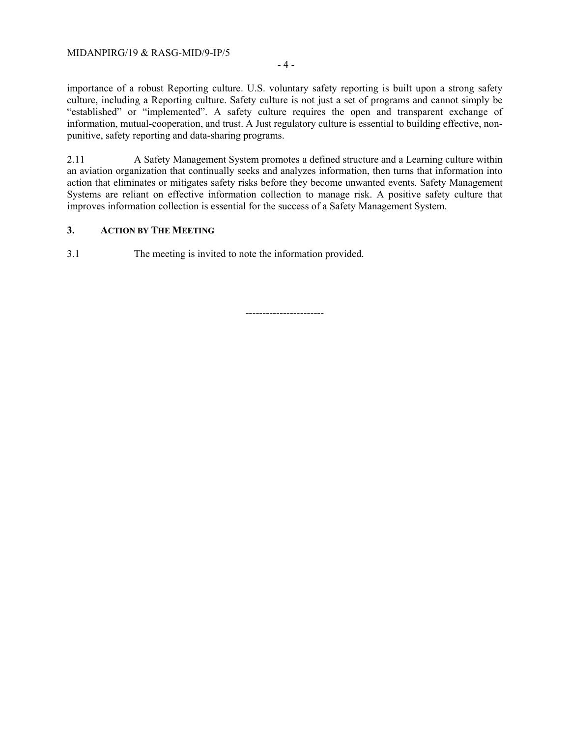#### MIDANPIRG/19 & RASG-MID/9-IP/5

- 4 -

importance of a robust Reporting culture. U.S. voluntary safety reporting is built upon a strong safety culture, including a Reporting culture. Safety culture is not just a set of programs and cannot simply be "established" or "implemented". A safety culture requires the open and transparent exchange of information, mutual-cooperation, and trust. A Just regulatory culture is essential to building effective, nonpunitive, safety reporting and data-sharing programs.

2.11 A Safety Management System promotes a defined structure and a Learning culture within an aviation organization that continually seeks and analyzes information, then turns that information into action that eliminates or mitigates safety risks before they become unwanted events. Safety Management Systems are reliant on effective information collection to manage risk. A positive safety culture that improves information collection is essential for the success of a Safety Management System.

## **3. ACTION BY THE MEETING**

3.1 The meeting is invited to note the information provided.

-----------------------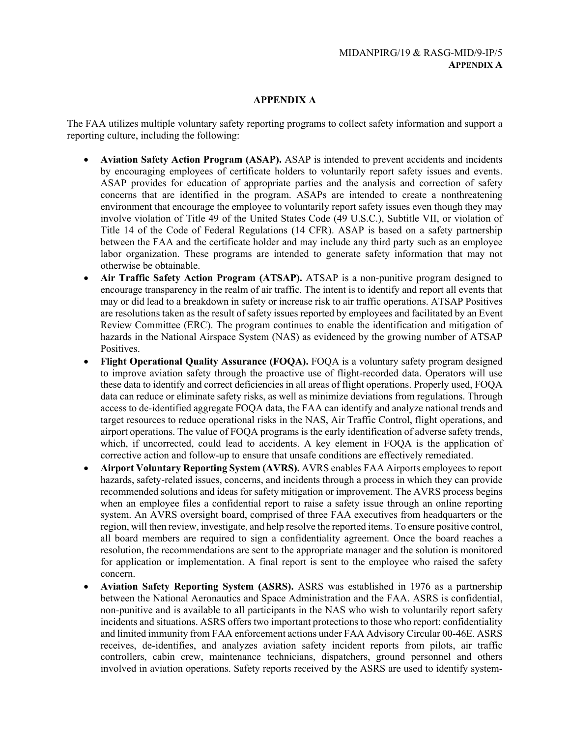# **APPENDIX A**

The FAA utilizes multiple voluntary safety reporting programs to collect safety information and support a reporting culture, including the following:

- **Aviation Safety Action Program (ASAP).** ASAP is intended to prevent accidents and incidents by encouraging employees of certificate holders to voluntarily report safety issues and events. ASAP provides for education of appropriate parties and the analysis and correction of safety concerns that are identified in the program. ASAPs are intended to create a nonthreatening environment that encourage the employee to voluntarily report safety issues even though they may involve violation of Title 49 of the United States Code (49 U.S.C.), Subtitle VII, or violation of Title 14 of the Code of Federal Regulations (14 CFR). ASAP is based on a safety partnership between the FAA and the certificate holder and may include any third party such as an employee labor organization. These programs are intended to generate safety information that may not otherwise be obtainable.
- **Air Traffic Safety Action Program (ATSAP).** ATSAP is a non-punitive program designed to encourage transparency in the realm of air traffic. The intent is to identify and report all events that may or did lead to a breakdown in safety or increase risk to air traffic operations. ATSAP Positives are resolutions taken as the result of safety issues reported by employees and facilitated by an Event Review Committee (ERC). The program continues to enable the identification and mitigation of hazards in the National Airspace System (NAS) as evidenced by the growing number of ATSAP Positives.
- **Flight Operational Quality Assurance (FOOA).** FOOA is a voluntary safety program designed to improve aviation safety through the proactive use of flight-recorded data. Operators will use these data to identify and correct deficiencies in all areas of flight operations. Properly used, FOQA data can reduce or eliminate safety risks, as well as minimize deviations from regulations. Through access to de-identified aggregate FOQA data, the FAA can identify and analyze national trends and target resources to reduce operational risks in the NAS, Air Traffic Control, flight operations, and airport operations. The value of FOQA programs is the early identification of adverse safety trends, which, if uncorrected, could lead to accidents. A key element in FOQA is the application of corrective action and follow-up to ensure that unsafe conditions are effectively remediated.
- **Airport Voluntary Reporting System (AVRS).** AVRS enables FAA Airports employees to report hazards, safety-related issues, concerns, and incidents through a process in which they can provide recommended solutions and ideas for safety mitigation or improvement. The AVRS process begins when an employee files a confidential report to raise a safety issue through an online reporting system. An AVRS oversight board, comprised of three FAA executives from headquarters or the region, will then review, investigate, and help resolve the reported items. To ensure positive control, all board members are required to sign a confidentiality agreement. Once the board reaches a resolution, the recommendations are sent to the appropriate manager and the solution is monitored for application or implementation. A final report is sent to the employee who raised the safety concern.
- **Aviation Safety Reporting System (ASRS).** ASRS was established in 1976 as a partnership between the National Aeronautics and Space Administration and the FAA. ASRS is confidential, non-punitive and is available to all participants in the NAS who wish to voluntarily report safety incidents and situations. ASRS offers two important protections to those who report: confidentiality and limited immunity from FAA enforcement actions under FAA Advisory Circular 00-46E. ASRS receives, de-identifies, and analyzes aviation safety incident reports from pilots, air traffic controllers, cabin crew, maintenance technicians, dispatchers, ground personnel and others involved in aviation operations. Safety reports received by the ASRS are used to identify system-